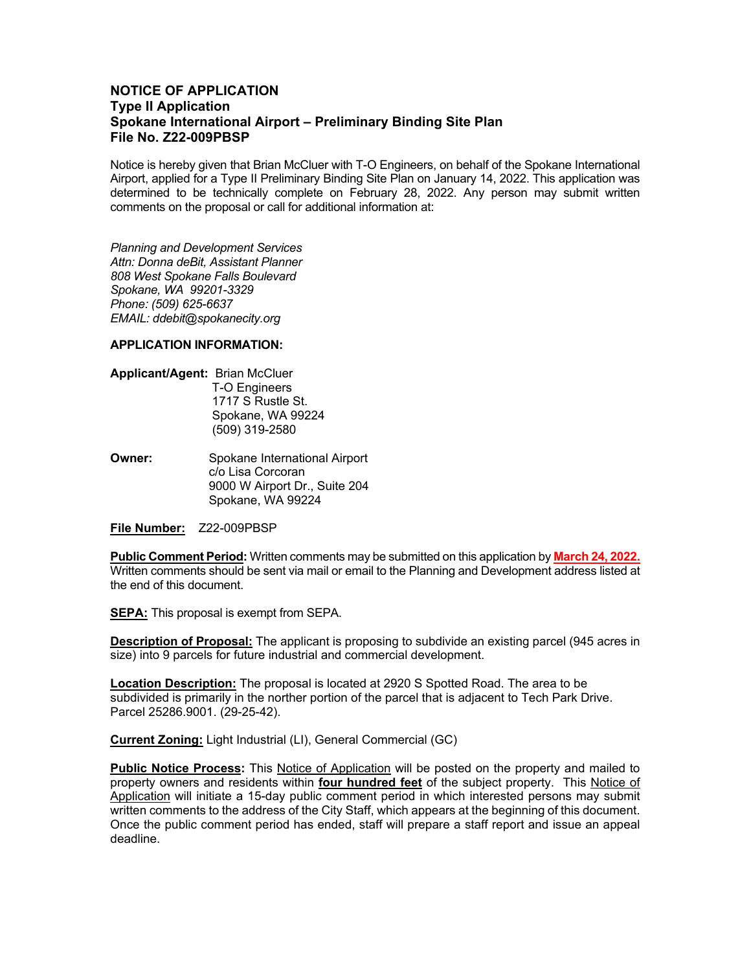## **NOTICE OF APPLICATION Type II Application Spokane International Airport – Preliminary Binding Site Plan File No. Z22-009PBSP**

Notice is hereby given that Brian McCluer with T-O Engineers, on behalf of the Spokane International Airport, applied for a Type II Preliminary Binding Site Plan on January 14, 2022. This application was determined to be technically complete on February 28, 2022. Any person may submit written comments on the proposal or call for additional information at:

*Planning and Development Services Attn: Donna deBit, Assistant Planner 808 West Spokane Falls Boulevard Spokane, WA 99201-3329 Phone: (509) 625-6637 EMAIL: ddebit@spokanecity.org*

## **APPLICATION INFORMATION:**

- **Applicant/Agent:** Brian McCluer T-O Engineers 1717 S Rustle St. Spokane, WA 99224 (509) 319-2580
- **Owner:** Spokane International Airport c/o Lisa Corcoran 9000 W Airport Dr., Suite 204 Spokane, WA 99224

**File Number:** Z22-009PBSP

**Public Comment Period:** Written comments may be submitted on this application by **March 24, 2022.** Written comments should be sent via mail or email to the Planning and Development address listed at the end of this document.

**SEPA:** This proposal is exempt from SEPA.

**Description of Proposal:** The applicant is proposing to subdivide an existing parcel (945 acres in size) into 9 parcels for future industrial and commercial development.

**Location Description:** The proposal is located at 2920 S Spotted Road. The area to be subdivided is primarily in the norther portion of the parcel that is adjacent to Tech Park Drive. Parcel 25286.9001. (29-25-42).

**Current Zoning:** Light Industrial (LI), General Commercial (GC)

**Public Notice Process:** This Notice of Application will be posted on the property and mailed to property owners and residents within **four hundred feet** of the subject property. This Notice of Application will initiate a 15-day public comment period in which interested persons may submit written comments to the address of the City Staff, which appears at the beginning of this document. Once the public comment period has ended, staff will prepare a staff report and issue an appeal deadline.